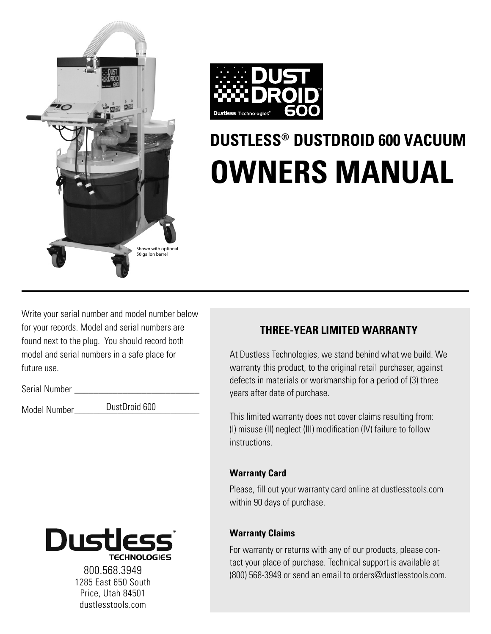



# **DUSTLESS® DUSTDROID 600 VACUUM OWNERS MANUAL**

Write your serial number and model number below for your records. Model and serial numbers are found next to the plug. You should record both model and serial numbers in a safe place for future use.

Serial Number

Model Number DustDroid 600



1285 East 650 South Price, Utah 84501 dustlesstools.com

### **THREE-YEAR LIMITED WARRANTY**

At Dustless Technologies, we stand behind what we build. We warranty this product, to the original retail purchaser, against defects in materials or workmanship for a period of (3) three years after date of purchase.

This limited warranty does not cover claims resulting from: (I) misuse (II) neglect (III) modification (IV) failure to follow instructions.

### **Warranty Card**

Please, fill out your warranty card online at dustlesstools.com within 90 days of purchase.

### **Warranty Claims**

For warranty or returns with any of our products, please contact your place of purchase. Technical support is available at (800) 568-3949 or send an email to orders@dustlesstools.com. 800.568.3949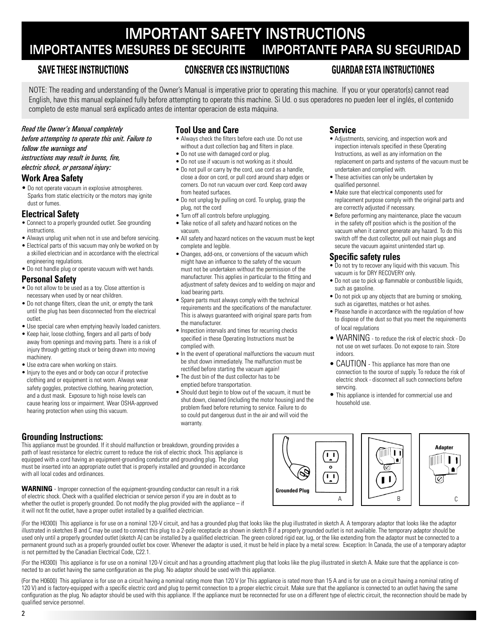### **IMPORTANT SAFETY INSTRUCTIONS IMPORTANTES MESURES DE SECURITE IMPORTANTE PARA SU SEGURIDAD**

### **SAVE THESE INSTRUCTIONS CONSERVER CES INSTRUCTIONS GUARDAR ESTA INSTRUCTIONES**

NOTE: The reading and understanding of the Owner's Manual is imperative prior to operating this machine. If you or your operator(s) cannot read English, have this manual explained fully before attempting to operate this machine. Si Ud. o sus operadores no pueden leer el inglés, el contenido completo de este manual será explicado antes de intentar operacion de esta máquina.

#### *Read the Owner's Manual completely*

*before attempting to operate this unit. Failure to follow the warnings and* 

*instructions may result in burns, fire,* 

#### *electric shock, or personal injury:*

### **Work Area Safety**

• Do not operate vacuum in explosive atmospheres. Sparks from static electricity or the motors may ignite dust or fumes.

#### **Electrical Safety**

- Connect to a properly grounded outlet. See grounding instructions.
- Always unplug unit when not in use and before servicing.
- Electrical parts of this vacuum may only be worked on by a skilled electrician and in accordance with the electrical engineering regulations.
- Do not handle plug or operate vacuum with wet hands.

#### **Personal Safety**

- Do not allow to be used as a toy. Close attention is necessary when used by or near children.
- Do not change filters, clean the unit, or empty the tank until the plug has been disconnected from the electrical outlet.
- Use special care when emptying heavily loaded canisters.
- Keep hair, loose clothing, fingers and all parts of body away from openings and moving parts. There is a risk of injury through getting stuck or being drawn into moving machinery.
- Use extra care when working on stairs.
- Injury to the eyes and or body can occur if protective clothing and or equipment is not worn. Always wear safety goggles, protective clothing, hearing protection, and a dust mask. Exposure to high noise levels can cause hearing loss or impairment. Wear OSHA-approved hearing protection when using this vacuum.

### **Tool Use and Care**

- Always check the filters before each use. Do not use without a dust collection bag and filters in place.
- Do not use with damaged cord or plug.
- Do not use if vacuum is not working as it should.
- Do not pull or carry by the cord, use cord as a handle, close a door on cord, or pull cord around sharp edges or corners. Do not run vacuum over cord. Keep cord away from heated surfaces.
- Do not unplug by pulling on cord. To unplug, grasp the plug, not the cord
- Turn off all controls before unplugging.
- Take notice of all safety and hazard notices on the vacuum.
- All safety and hazard notices on the vacuum must be kept complete and legible.
- Changes, add-ons, or conversions of the vacuum which might have an influence to the safety of the vacuum must not be undertaken without the permission of the manufacturer. This applies in particular to the fitting and adjustment of safety devices and to welding on major and load bearing parts.
- Spare parts must always comply with the technical requirements and the specifications of the manufacturer. This is always guaranteed with original spare parts from the manufacturer.
- Inspection intervals and times for recurring checks specified in these Operating Instructions must be complied with.
- In the event of operational malfunctions the vacuum must be shut down immediately. The malfunction must be rectified before starting the vacuum again!
- The dust bin of the dust collector has to be emptied before transportation.
- Should dust begin to blow out of the vacuum, it must be shut down, cleaned (including the motor housing) and the problem fixed before returning to service. Failure to do so could put dangerous dust in the air and will void the warranty.

### **Service**

- Adjustments, servicing, and inspection work and inspection intervals specified in these Operating Instructions, as well as any information on the replacement on parts and systems of the vacuum must be undertaken and complied with.
- These activities can only be undertaken by qualified personnel.
- Make sure that electrical components used for replacement purpose comply with the original parts and are correctly adjusted if necessary.
- Before performing any maintenance, place the vacuum in the safety off position which is the position of the vacuum when it cannot generate any hazard. To do this switch off the dust collector, pull out main plugs and secure the vacuum against unintended start up.

### **Specific safety rules**

- Do not try to recover any liquid with this vacuum. This vacuum is for DRY RECOVERY only.
- Do not use to pick up flammable or combustible liquids, such as gasoline.
- Do not pick up any objects that are burning or smoking, such as cigarettes, matches or hot ashes.
- Please handle in accordance with the regulation of how to dispose of the dust so that you meet the requirements of local regulations
- WARNING to reduce the risk of electric shock Do not use on wet surfaces. Do not expose to rain. Store indoors.
- CAUTION This appliance has more than one connection to the source of supply. To reduce the risk of electric shock - disconnect all such connections before servcing.
- This appliance is intended for commercial use and household use.

### **Grounding Instructions:**

This appliance must be grounded. If it should malfunction or breakdown, grounding provides a path of least resistance for electric current to reduce the risk of electric shock. This appliance is equipped with a cord having an equipment-grounding conductor and grounding plug. The plug must be inserted into an appropriate outlet that is properly installed and grounded in accordance with all local codes and ordinances.

**WARNING** - Improper connection of the equipment-grounding conductor can result in a risk of electric shock. Check with a qualified electrician or service person if you are in doubt as to whether the outlet is properly grounded. Do not modify the plug provided with the appliance – if it will not fit the outlet, have a proper outlet installed by a qualified electrician.

(For the H0300) This appliance is for use on a nominal 120-V circuit, and has a grounded plug that looks like the plug illustrated in sketch A. A temporary adaptor that looks like the adaptor illustrated in sketches B and C may be used to connect this plug to a 2-pole receptacle as shown in sketch B if a properly grounded outlet is not available. The temporary adaptor should be used only until a properly grounded outlet (sketch A) can be installed by a qualified electrician. The green colored rigid ear, lug, or the like extending from the adaptor must be connected to a permanent ground such as a properly grounded outlet box cover. Whenever the adaptor is used, it must be held in place by a metal screw. Exception: In Canada, the use of a temporary adaptor is not permitted by the Canadian Electrical Code, C22.1.

(For the H0300) This appliance is for use on a nominal 120-V circuit and has a grounding attachment plug that looks like the plug illustrated in sketch A. Make sure that the appliance is connected to an outlet having the same configuration as the plug. No adaptor should be used with this appliance.

(For the H0600) This appliance is for use on a circuit having a nominal rating more than 120 V (or This appliance is rated more than 15 A and is for use on a circuit having a nominal rating of 120 V) and is factory-equipped with a specific electric cord and plug to permit connection to a proper electric circuit. Make sure that the appliance is connected to an outlet having the same configuration as the plug. No adaptor should be used with this appliance. If the appliance must be reconnected for use on a different type of electric circuit, the reconnection should be made by qualified service personnel.

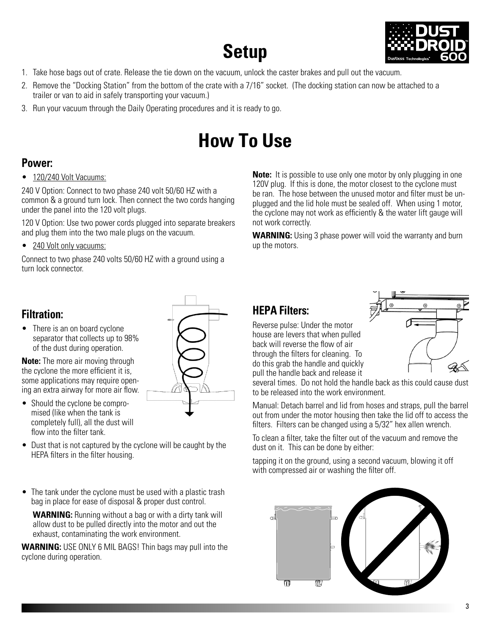### **Setup**



- 1. Take hose bags out of crate. Release the tie down on the vacuum, unlock the caster brakes and pull out the vacuum.
- 2. Remove the "Docking Station" from the bottom of the crate with a 7/16" socket. (The docking station can now be attached to a trailer or van to aid in safely transporting your vacuum.)
- 3. Run your vacuum through the Daily Operating procedures and it is ready to go.

## **How To Use**

### **Power:**

• 120/240 Volt Vacuums:

240 V Option: Connect to two phase 240 volt 50/60 HZ with a common & a ground turn lock. Then connect the two cords hanging under the panel into the 120 volt plugs.

120 V Option: Use two power cords plugged into separate breakers and plug them into the two male plugs on the vacuum.

• 240 Volt only vacuums:

Connect to two phase 240 volts 50/60 HZ with a ground using a turn lock connector.

### **Filtration:**

• There is an on board cyclone separator that collects up to 98% of the dust during operation.

**Note:** The more air moving through the cyclone the more efficient it is, some applications may require opening an extra airway for more air flow.

- Should the cyclone be compromised (like when the tank is completely full), all the dust will flow into the filter tank.
- Dust that is not captured by the cyclone will be caught by the HEPA filters in the filter housing.
- The tank under the cyclone must be used with a plastic trash bag in place for ease of disposal & proper dust control.

**WARNING:** Running without a bag or with a dirty tank will allow dust to be pulled directly into the motor and out the exhaust, contaminating the work environment.

**WARNING:** USE ONLY 6 MIL BAGS! Thin bags may pull into the cyclone during operation.

**Note:** It is possible to use only one motor by only plugging in one 120V plug. If this is done, the motor closest to the cyclone must be ran. The hose between the unused motor and filter must be unplugged and the lid hole must be sealed off. When using 1 motor, the cyclone may not work as efficiently & the water lift gauge will not work correctly.

**WARNING:** Using 3 phase power will void the warranty and burn up the motors.

### **HEPA Filters:**

Reverse pulse: Under the motor house are levers that when pulled back will reverse the flow of air through the filters for cleaning. To do this grab the handle and quickly pull the handle back and release it



several times. Do not hold the handle back as this could cause dust to be released into the work environment.

Manual: Detach barrel and lid from hoses and straps, pull the barrel out from under the motor housing then take the lid off to access the filters. Filters can be changed using a 5/32" hex allen wrench.

To clean a filter, take the filter out of the vacuum and remove the dust on it. This can be done by either:

tapping it on the ground, using a second vacuum, blowing it off with compressed air or washing the filter off.

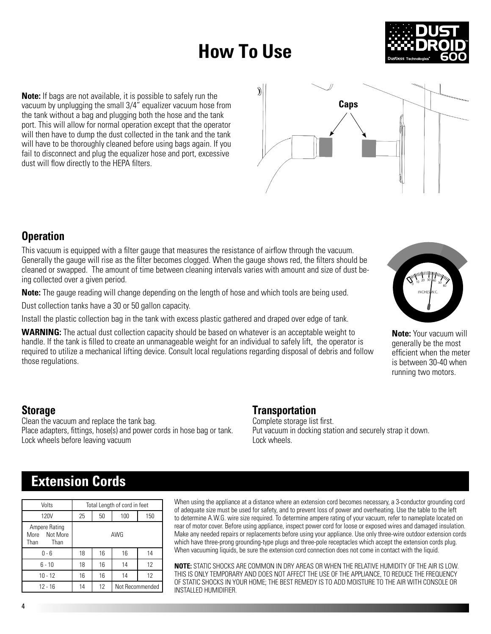## **How To Use**



**Note:** If bags are not available, it is possible to safely run the vacuum by unplugging the small 3/4" equalizer vacuum hose from the tank without a bag and plugging both the hose and the tank port. This will allow for normal operation except that the operator will then have to dump the dust collected in the tank and the tank will have to be thoroughly cleaned before using bags again. If you fail to disconnect and plug the equalizer hose and port, excessive dust will flow directly to the HEPA filters.



### **Operation**

This vacuum is equipped with a filter gauge that measures the resistance of airflow through the vacuum. Generally the gauge will rise as the filter becomes clogged. When the gauge shows red, the filters should be cleaned or swapped. The amount of time between cleaning intervals varies with amount and size of dust being collected over a given period.

**Note:** The gauge reading will change depending on the length of hose and which tools are being used.

Dust collection tanks have a 30 or 50 gallon capacity.

Install the plastic collection bag in the tank with excess plastic gathered and draped over edge of tank.

**WARNING:** The actual dust collection capacity should be based on whatever is an acceptable weight to handle. If the tank is filled to create an unmanageable weight for an individual to safely lift, the operator is required to utilize a mechanical lifting device. Consult local regulations regarding disposal of debris and follow those regulations.



**Note:** Your vacuum will generally be the most efficient when the meter is between 30-40 when running two motors.

### **Storage**

Clean the vacuum and replace the tank bag. Place adapters, fittings, hose(s) and power cords in hose bag or tank. Lock wheels before leaving vacuum

### **Transportation**

Complete storage list first. Put vacuum in docking station and securely strap it down. Lock wheels.

### **Extension Cords**

| Volts                                             | Total Length of cord in feet |    |                 |     |
|---------------------------------------------------|------------------------------|----|-----------------|-----|
| <b>120V</b>                                       | 25                           | 50 | 100             | 150 |
| Ampere Rating<br>Not More<br>More<br>Than<br>Than | AWG                          |    |                 |     |
| $0 - 6$                                           | 18                           | 16 | 16              | 14  |
| $6 - 10$                                          | 18                           | 16 | 14              | 12  |
| $10 - 12$                                         | 16                           | 16 | 14              | 12  |
| $12 - 16$                                         | 14                           | 12 | Not Recommended |     |

When using the appliance at a distance where an extension cord becomes necessary, a 3-conductor grounding cord of adequate size must be used for safety, and to prevent loss of power and overheating. Use the table to the left to determine A.W.G. wire size required. To determine ampere rating of your vacuum, refer to nameplate located on rear of motor cover. Before using appliance, inspect power cord for loose or exposed wires and damaged insulation. Make any needed repairs or replacements before using your appliance. Use only three-wire outdoor extension cords which have three-prong grounding-type plugs and three-pole receptacles which accept the extension cords plug. When vacuuming liquids, be sure the extension cord connection does not come in contact with the liquid.

**NOTE:** STATIC SHOCKS ARE COMMON IN DRY AREAS OR WHEN THE RELATIVE HUMIDITY OF THE AIR IS LOW. THIS IS ONLY TEMPORARY AND DOES NOT AFFECT THE USE OF THE APPLIANCE, TO REDUCE THE FREQUENCY OF STATIC SHOCKS IN YOUR HOME; THE BEST REMEDY IS TO ADD MOISTURE TO THE AIR WITH CONSOLE OR INSTALLED HUMIDIFIER.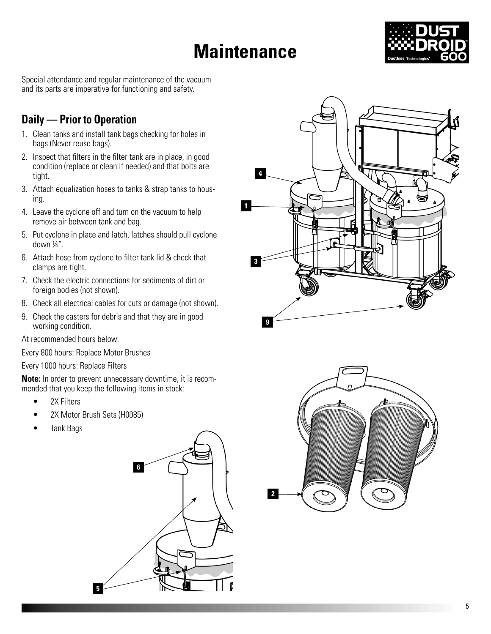## **Maintenance**



Special attendance and regular maintenance of the vacuum and its parts are imperative for functioning and safety.

### **Daily — Prior to Operation**

- 1. Clean tanks and install tank bags checking for holes in bags (Never reuse bags).
- 2. Inspect that filters in the filter tank are in place, in good condition (replace or clean if needed) and that bolts are tight.
- 3. Attach equalization hoses to tanks & strap tanks to housing.
- 4. Leave the cyclone off and turn on the vacuum to help remove air between tank and bag.
- 5. Put cyclone in place and latch, latches should pull cyclone down ¼".
- 6. Attach hose from cyclone to filter tank lid & check that clamps are tight.
- 7. Check the electric connections for sediments of dirt or foreign bodies (not shown).
- 8. Check all electrical cables for cuts or damage (not shown).
- 9. Check the casters for debris and that they are in good working condition.

At recommended hours below:

Every 800 hours: Replace Motor Brushes

Every 1000 hours: Replace Filters

**Note:** In order to prevent unnecessary downtime, it is recommended that you keep the following items in stock:

- 2X Filters
- 2X Motor Brush Sets (H0085)
- Tank Bags





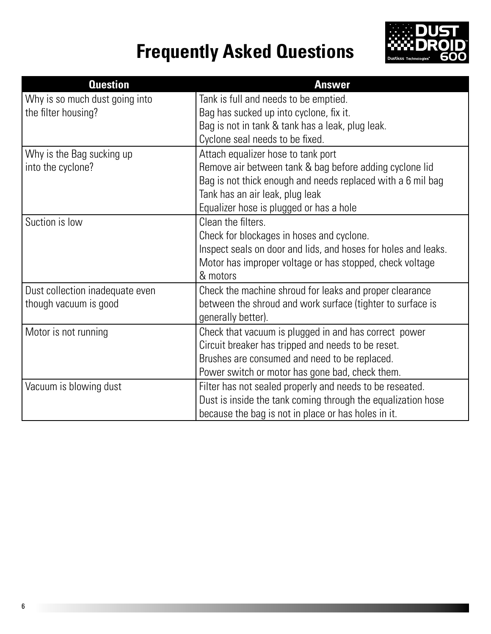# **Frequently Asked Questions**



| <b>Question</b>                 | <b>Answer</b>                                                  |
|---------------------------------|----------------------------------------------------------------|
| Why is so much dust going into  | Tank is full and needs to be emptied.                          |
| the filter housing?             | Bag has sucked up into cyclone, fix it.                        |
|                                 | Bag is not in tank & tank has a leak, plug leak.               |
|                                 | Cyclone seal needs to be fixed.                                |
| Why is the Bag sucking up       | Attach equalizer hose to tank port                             |
| into the cyclone?               | Remove air between tank & bag before adding cyclone lid        |
|                                 | Bag is not thick enough and needs replaced with a 6 mil bag    |
|                                 | Tank has an air leak, plug leak                                |
|                                 | Equalizer hose is plugged or has a hole                        |
| Suction is low                  | Clean the filters.                                             |
|                                 | Check for blockages in hoses and cyclone.                      |
|                                 | Inspect seals on door and lids, and hoses for holes and leaks. |
|                                 | Motor has improper voltage or has stopped, check voltage       |
|                                 | & motors                                                       |
| Dust collection inadequate even | Check the machine shroud for leaks and proper clearance        |
| though vacuum is good           | between the shroud and work surface (tighter to surface is     |
|                                 | generally better).                                             |
| Motor is not running            | Check that vacuum is plugged in and has correct power          |
|                                 | Circuit breaker has tripped and needs to be reset.             |
|                                 | Brushes are consumed and need to be replaced.                  |
|                                 | Power switch or motor has gone bad, check them.                |
| Vacuum is blowing dust          | Filter has not sealed properly and needs to be reseated.       |
|                                 | Dust is inside the tank coming through the equalization hose   |
|                                 | because the bag is not in place or has holes in it.            |